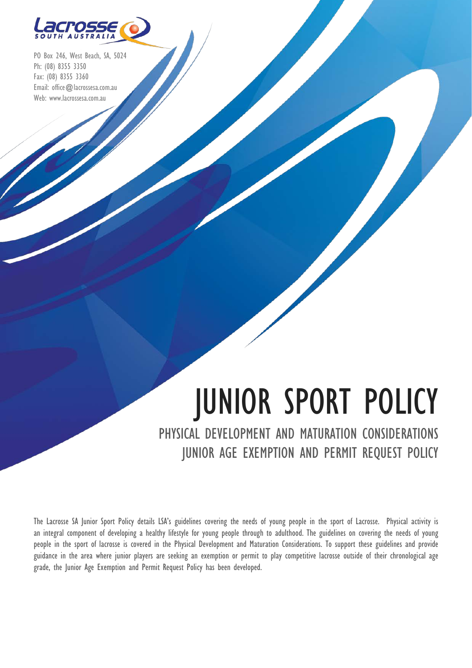

PO Box 246, West Beach, SA, 5024 Ph: (08) 8355 3350 Fax: (08) 8355 3360 Email: office@lacrossesa.com.au Web: www.lacrossesa.com.au

# JUNIOR SPORT POLICY

PHYSICAL DEVELOPMENT AND MATURATION CONSIDERATIONS JUNIOR AGE EXEMPTION AND PERMIT REQUEST POLICY

The Lacrosse SA Junior Sport Policy details LSA's guidelines covering the needs of young people in the sport of Lacrosse. Physical activity is an integral component of developing a healthy lifestyle for young people through to adulthood. The guidelines on covering the needs of young people in the sport of lacrosse is covered in the Physical Development and Maturation Considerations. To support these guidelines and provide guidance in the area where junior players are seeking an exemption or permit to play competitive lacrosse outside of their chronological age grade, the Junior Age Exemption and Permit Request Policy has been developed.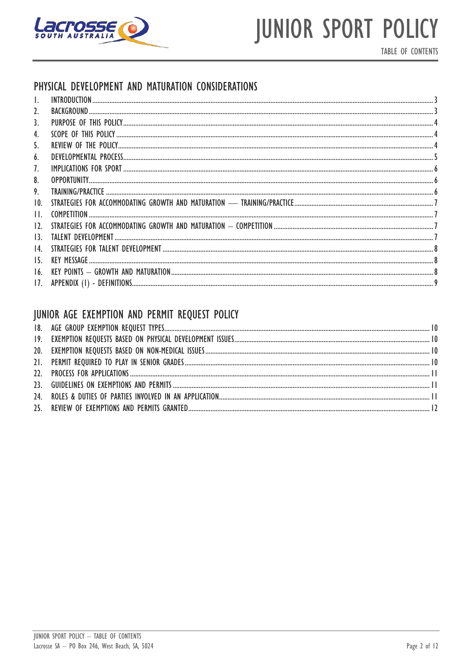

TABLE OF CONTENTS

### PHYSICAL DEVELOPMENT AND MATURATION CONSIDERATIONS

| 2.                |  |
|-------------------|--|
| 3.                |  |
| 4.                |  |
| 5.                |  |
| 6.                |  |
| 7.                |  |
| 8.                |  |
| 9.                |  |
| 10.               |  |
| $\mathsf{H}.$     |  |
| 12.               |  |
| 13.               |  |
| $\overline{14}$ . |  |
| 15.               |  |
| 16.               |  |
| 17.               |  |

### JUNIOR AGE EXEMPTION AND PERMIT REQUEST POLICY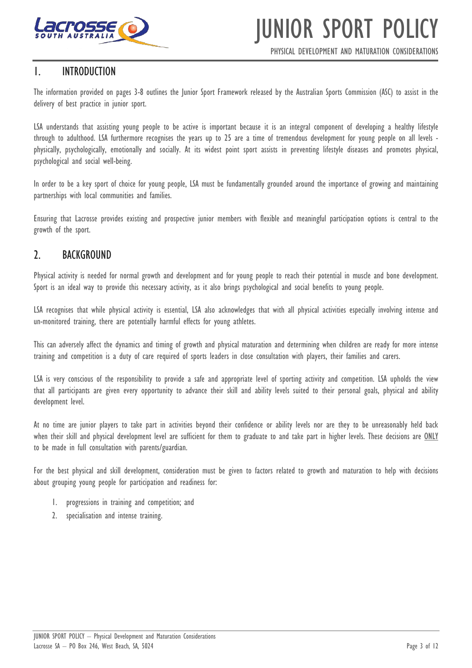

PHYSICAL DEVELOPMENT AND MATURATION CONSIDERATIONS

### <span id="page-2-0"></span>1. INTRODUCTION

The information provided on pages 3-8 outlines the Junior Sport Framework released by the Australian Sports Commission (ASC) to assist in the delivery of best practice in junior sport.

LSA understands that assisting young people to be active is important because it is an integral component of developing a healthy lifestyle through to adulthood. LSA furthermore recognises the years up to 25 are a time of tremendous development for young people on all levels physically, psychologically, emotionally and socially. At its widest point sport assists in preventing lifestyle diseases and promotes physical, psychological and social well-being.

In order to be a key sport of choice for young people, LSA must be fundamentally grounded around the importance of growing and maintaining partnerships with local communities and families.

Ensuring that Lacrosse provides existing and prospective junior members with flexible and meaningful participation options is central to the growth of the sport.

### <span id="page-2-1"></span>2. BACKGROUND

Physical activity is needed for normal growth and development and for young people to reach their potential in muscle and bone development. Sport is an ideal way to provide this necessary activity, as it also brings psychological and social benefits to young people.

LSA recognises that while physical activity is essential, LSA also acknowledges that with all physical activities especially involving intense and un-monitored training, there are potentially harmful effects for young athletes.

This can adversely affect the dynamics and timing of growth and physical maturation and determining when children are ready for more intense training and competition is a duty of care required of sports leaders in close consultation with players, their families and carers.

LSA is very conscious of the responsibility to provide a safe and appropriate level of sporting activity and competition. LSA upholds the view that all participants are given every opportunity to advance their skill and ability levels suited to their personal goals, physical and ability development level.

At no time are junior players to take part in activities beyond their confidence or ability levels nor are they to be unreasonably held back when their skill and physical development level are sufficient for them to graduate to and take part in higher levels. These decisions are ONLY to be made in full consultation with parents/guardian.

For the best physical and skill development, consideration must be given to factors related to growth and maturation to help with decisions about grouping young people for participation and readiness for:

- 1. progressions in training and competition; and
- 2. specialisation and intense training.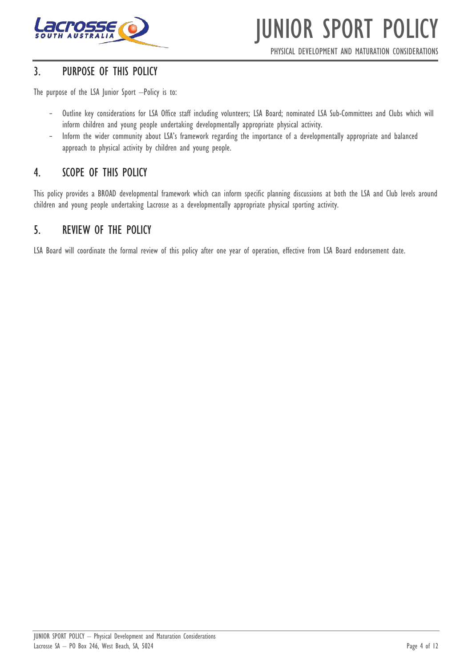

PHYSICAL DEVELOPMENT AND MATURATION CONSIDERATIONS

### <span id="page-3-0"></span>3. PURPOSE OF THIS POLICY

The purpose of the LSA Junior Sport –Policy is to:

- Outline key considerations for LSA Office staff including volunteers; LSA Board; nominated LSA Sub-Committees and Clubs which will inform children and young people undertaking developmentally appropriate physical activity.
- Inform the wider community about LSA's framework regarding the importance of a developmentally appropriate and balanced approach to physical activity by children and young people.

### <span id="page-3-1"></span>4. SCOPE OF THIS POLICY

This policy provides a BROAD developmental framework which can inform specific planning discussions at both the LSA and Club levels around children and young people undertaking Lacrosse as a developmentally appropriate physical sporting activity.

### <span id="page-3-2"></span>5. REVIEW OF THE POLICY

LSA Board will coordinate the formal review of this policy after one year of operation, effective from LSA Board endorsement date.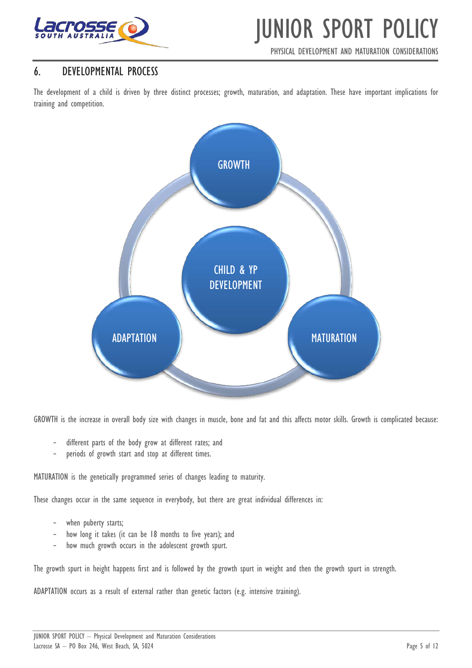

PHYSICAL DEVELOPMENT AND MATURATION CONSIDERATIONS

### <span id="page-4-0"></span>6. DEVELOPMENTAL PROCESS

The development of a child is driven by three distinct processes; growth, maturation, and adaptation. These have important implications for training and competition.



GROWTH is the increase in overall body size with changes in muscle, bone and fat and this affects motor skills. Growth is complicated because:

- different parts of the body grow at different rates; and
- periods of growth start and stop at different times.

MATURATION is the genetically programmed series of changes leading to maturity.

These changes occur in the same sequence in everybody, but there are great individual differences in:

- when puberty starts;
- how long it takes (it can be 18 months to five years); and
- how much growth occurs in the adolescent growth spurt.

The growth spurt in height happens first and is followed by the growth spurt in weight and then the growth spurt in strength.

ADAPTATION occurs as a result of external rather than genetic factors (e.g. intensive training).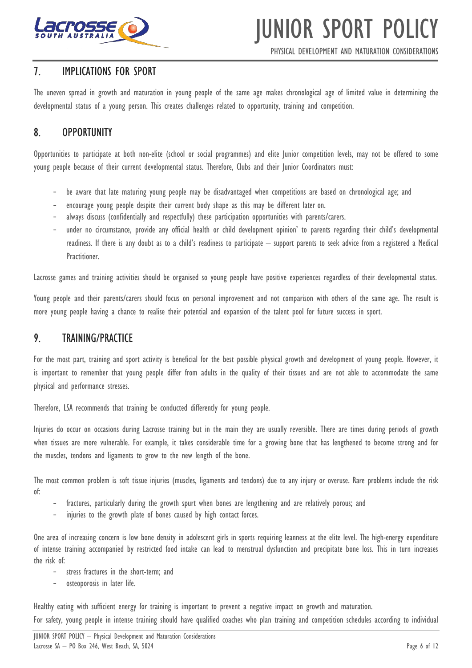

PHYSICAL DEVELOPMENT AND MATURATION CONSIDERATIONS

### <span id="page-5-0"></span>7. IMPLICATIONS FOR SPORT

The uneven spread in growth and maturation in young people of the same age makes chronological age of limited value in determining the developmental status of a young person. This creates challenges related to opportunity, training and competition.

### <span id="page-5-1"></span>8. OPPORTUNITY

Opportunities to participate at both non-elite (school or social programmes) and elite Junior competition levels, may not be offered to some young people because of their current developmental status. Therefore, Clubs and their Junior Coordinators must:

- be aware that late maturing young people may be disadvantaged when competitions are based on chronological age; and
- encourage young people despite their current body shape as this may be different later on.
- always discuss (confidentially and respectfully) these participation opportunities with parents/carers.
- under no circumstance, provide any official health or child development opinion' to parents regarding their child's developmental readiness. If there is any doubt as to a child's readiness to participate – support parents to seek advice from a registered a Medical Practitioner.

Lacrosse games and training activities should be organised so young people have positive experiences regardless of their developmental status.

Young people and their parents/carers should focus on personal improvement and not comparison with others of the same age. The result is more young people having a chance to realise their potential and expansion of the talent pool for future success in sport.

### <span id="page-5-2"></span>9. TRAINING/PRACTICE

For the most part, training and sport activity is beneficial for the best possible physical growth and development of young people. However, it is important to remember that young people differ from adults in the quality of their tissues and are not able to accommodate the same physical and performance stresses.

Therefore, LSA recommends that training be conducted differently for young people.

Injuries do occur on occasions during Lacrosse training but in the main they are usually reversible. There are times during periods of growth when tissues are more vulnerable. For example, it takes considerable time for a growing bone that has lengthened to become strong and for the muscles, tendons and ligaments to grow to the new length of the bone.

The most common problem is soft tissue injuries (muscles, ligaments and tendons) due to any injury or overuse. Rare problems include the risk of:

- fractures, particularly during the growth spurt when bones are lengthening and are relatively porous; and
- injuries to the growth plate of bones caused by high contact forces.

One area of increasing concern is low bone density in adolescent girls in sports requiring leanness at the elite level. The high-energy expenditure of intense training accompanied by restricted food intake can lead to menstrual dysfunction and precipitate bone loss. This in turn increases the risk of:

- stress fractures in the short-term; and
- osteoporosis in later life.

Healthy eating with sufficient energy for training is important to prevent a negative impact on growth and maturation. For safety, young people in intense training should have qualified coaches who plan training and competition schedules according to individual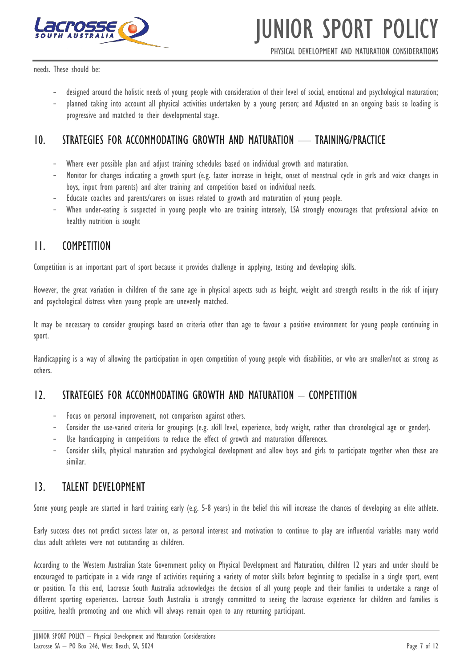

PHYSICAL DEVELOPMENT AND MATURATION CONSIDERATIONS

needs. These should be:

- designed around the holistic needs of young people with consideration of their level of social, emotional and psychological maturation;
- planned taking into account all physical activities undertaken by a young person; and Adjusted on an ongoing basis so loading is progressive and matched to their developmental stage.

### <span id="page-6-0"></span>10. STRATEGIES FOR ACCOMMODATING GROWTH AND MATURATION — TRAINING/PRACTICE

- Where ever possible plan and adjust training schedules based on individual growth and maturation.
- Monitor for changes indicating a growth spurt (e.g. faster increase in height, onset of menstrual cycle in girls and voice changes in boys, input from parents) and alter training and competition based on individual needs.
- Educate coaches and parents/carers on issues related to growth and maturation of young people.
- When under-eating is suspected in young people who are training intensely, LSA strongly encourages that professional advice on healthy nutrition is sought

### <span id="page-6-1"></span>11. COMPETITION

Competition is an important part of sport because it provides challenge in applying, testing and developing skills.

However, the great variation in children of the same age in physical aspects such as height, weight and strength results in the risk of injury and psychological distress when young people are unevenly matched.

It may be necessary to consider groupings based on criteria other than age to favour a positive environment for young people continuing in sport.

Handicapping is a way of allowing the participation in open competition of young people with disabilities, or who are smaller/not as strong as others.

### <span id="page-6-2"></span>12. STRATEGIES FOR ACCOMMODATING GROWTH AND MATURATION – COMPETITION

- Focus on personal improvement, not comparison against others.
- Consider the use-varied criteria for groupings (e.g. skill level, experience, body weight, rather than chronological age or gender).
- Use handicapping in competitions to reduce the effect of growth and maturation differences.
- Consider skills, physical maturation and psychological development and allow boys and girls to participate together when these are similar.

### <span id="page-6-3"></span>13. TALENT DEVELOPMENT

Some young people are started in hard training early (e.g. 5-8 years) in the belief this will increase the chances of developing an elite athlete.

Early success does not predict success later on, as personal interest and motivation to continue to play are influential variables many world class adult athletes were not outstanding as children.

According to the Western Australian State Government policy on Physical Development and Maturation, children 12 years and under should be encouraged to participate in a wide range of activities requiring a variety of motor skills before beginning to specialise in a single sport, event or position. To this end, Lacrosse South Australia acknowledges the decision of all young people and their families to undertake a range of different sporting experiences. Lacrosse South Australia is strongly committed to seeing the lacrosse experience for children and families is positive, health promoting and one which will always remain open to any returning participant.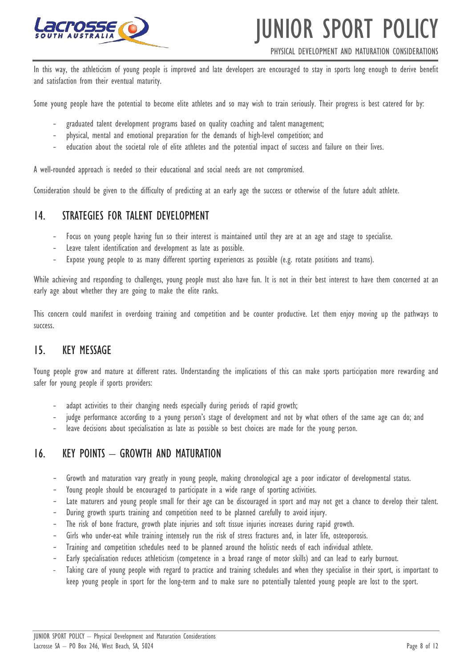

#### PHYSICAL DEVELOPMENT AND MATURATION CONSIDERATIONS

In this way, the athleticism of young people is improved and late developers are encouraged to stay in sports long enough to derive benefit and satisfaction from their eventual maturity.

Some young people have the potential to become elite athletes and so may wish to train seriously. Their progress is best catered for by:

- graduated talent development programs based on quality coaching and talent management;
- physical, mental and emotional preparation for the demands of high-level competition; and
- education about the societal role of elite athletes and the potential impact of success and failure on their lives.

A well-rounded approach is needed so their educational and social needs are not compromised.

Consideration should be given to the difficulty of predicting at an early age the success or otherwise of the future adult athlete.

#### <span id="page-7-0"></span>14. STRATEGIES FOR TALENT DEVELOPMENT

- Focus on young people having fun so their interest is maintained until they are at an age and stage to specialise.
- Leave talent identification and development as late as possible.
- Expose young people to as many different sporting experiences as possible (e.g. rotate positions and teams).

While achieving and responding to challenges, young people must also have fun. It is not in their best interest to have them concerned at an early age about whether they are going to make the elite ranks.

This concern could manifest in overdoing training and competition and be counter productive. Let them enjoy moving up the pathways to success.

### <span id="page-7-1"></span>15. KEY MESSAGE

Young people grow and mature at different rates. Understanding the implications of this can make sports participation more rewarding and safer for young people if sports providers:

- adapt activities to their changing needs especially during periods of rapid growth;
- judge performance according to a young person's stage of development and not by what others of the same age can do; and
- leave decisions about specialisation as late as possible so best choices are made for the young person.

### <span id="page-7-2"></span>16. KEY POINTS - GROWTH AND MATURATION

- Growth and maturation vary greatly in young people, making chronological age a poor indicator of developmental status.
- Young people should be encouraged to participate in a wide range of sporting activities.
- Late maturers and young people small for their age can be discouraged in sport and may not get a chance to develop their talent.
- During growth spurts training and competition need to be planned carefully to avoid injury.
- The risk of bone fracture, growth plate injuries and soft tissue injuries increases during rapid growth.
- Girls who under-eat while training intensely run the risk of stress fractures and, in later life, osteoporosis.
- Training and competition schedules need to be planned around the holistic needs of each individual athlete.
- Early specialisation reduces athleticism (competence in a broad range of motor skills) and can lead to early burnout.
- Taking care of young people with regard to practice and training schedules and when they specialise in their sport, is important to keep young people in sport for the long-term and to make sure no potentially talented young people are lost to the sport.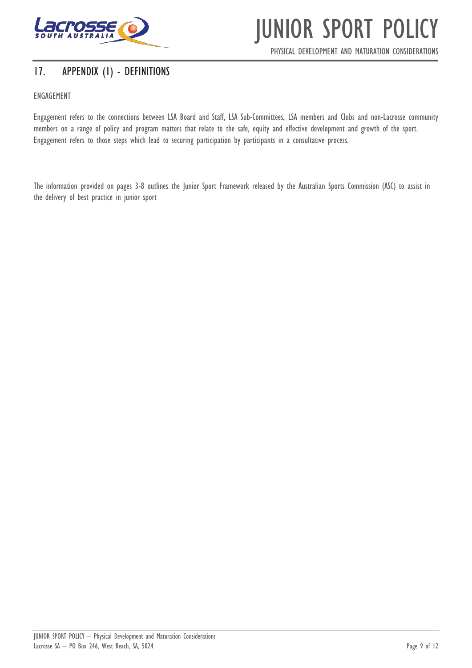

PHYSICAL DEVELOPMENT AND MATURATION CONSIDERATIONS

### <span id="page-8-0"></span>17. APPENDIX (1) - DEFINITIONS

#### ENGAGEMENT

Engagement refers to the connections between LSA Board and Staff, LSA Sub-Committees, LSA members and Clubs and non-Lacrosse community members on a range of policy and program matters that relate to the safe, equity and effective development and growth of the sport. Engagement refers to those steps which lead to securing participation by participants in a consultative process.

The information provided on pages 3-8 outlines the Junior Sport Framework released by the Australian Sports Commission (ASC) to assist in the delivery of best practice in junior sport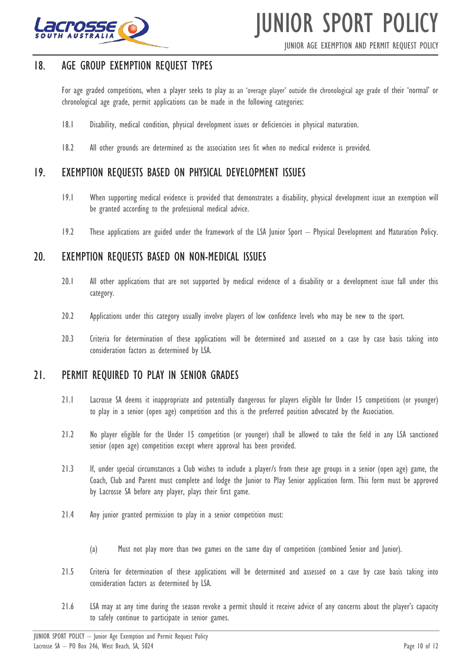

JUNIOR AGE EXEMPTION AND PERMIT REQUEST POLICY

### <span id="page-9-0"></span>18. AGE GROUP EXEMPTION REQUEST TYPES

For age graded competitions, when a player seeks to play as an 'overage player' outside the chronological age grade of their 'normal' or chronological age grade, permit applications can be made in the following categories:

- 18.1 Disability, medical condition, physical development issues or deficiencies in physical maturation.
- 18.2 All other grounds are determined as the association sees fit when no medical evidence is provided.

### <span id="page-9-1"></span>19. EXEMPTION REQUESTS BASED ON PHYSICAL DEVELOPMENT ISSUES

- 19.1 When supporting medical evidence is provided that demonstrates a disability, physical development issue an exemption will be granted according to the professional medical advice.
- 19.2 These applications are guided under the framework of the LSA Junior Sport Physical Development and Maturation Policy.

### <span id="page-9-2"></span>20. EXEMPTION REQUESTS BASED ON NON-MEDICAL ISSUES

- 20.1 All other applications that are not supported by medical evidence of a disability or a development issue fall under this category.
- 20.2 Applications under this category usually involve players of low confidence levels who may be new to the sport.
- 20.3 Criteria for determination of these applications will be determined and assessed on a case by case basis taking into consideration factors as determined by LSA.

#### <span id="page-9-3"></span>21. PERMIT REQUIRED TO PLAY IN SENIOR GRADES

- 21.1 Lacrosse SA deems it inappropriate and potentially dangerous for players eligible for Under 15 competitions (or younger) to play in a senior (open age) competition and this is the preferred position advocated by the Association.
- 21.2 No player eligible for the Under 15 competition (or younger) shall be allowed to take the field in any LSA sanctioned senior (open age) competition except where approval has been provided.
- 21.3 If, under special circumstances a Club wishes to include a player/s from these age groups in a senior (open age) game, the Coach, Club and Parent must complete and lodge the Junior to Play Senior application form. This form must be approved by Lacrosse SA before any player, plays their first game.
- 21.4 Any junior granted permission to play in a senior competition must:
	- (a) Must not play more than two games on the same day of competition (combined Senior and Junior).
- 21.5 Criteria for determination of these applications will be determined and assessed on a case by case basis taking into consideration factors as determined by LSA.
- 21.6 LSA may at any time during the season revoke a permit should it receive advice of any concerns about the player's capacity to safely continue to participate in senior games.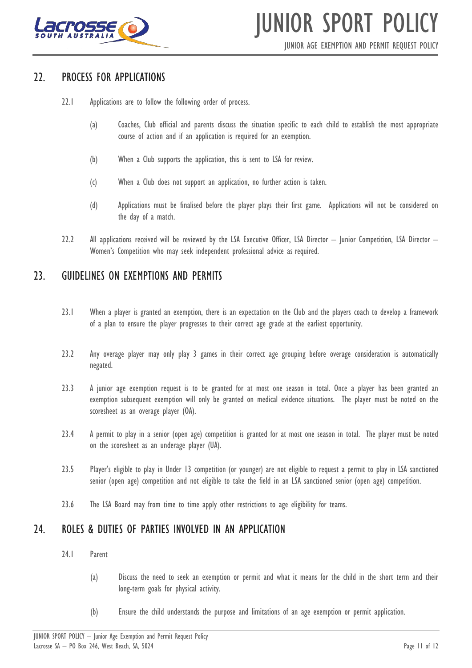

JUNIOR AGE EXEMPTION AND PERMIT REQUEST POLICY

#### <span id="page-10-0"></span>22. PROCESS FOR APPLICATIONS

- 22.1 Applications are to follow the following order of process.
	- (a) Coaches, Club official and parents discuss the situation specific to each child to establish the most appropriate course of action and if an application is required for an exemption.
	- (b) When a Club supports the application, this is sent to LSA for review.
	- (c) When a Club does not support an application, no further action is taken.
	- (d) Applications must be finalised before the player plays their first game. Applications will not be considered on the day of a match.
- 22.2 All applications received will be reviewed by the LSA Executive Officer, LSA Director Junior Competition, LSA Director -Women's Competition who may seek independent professional advice as required.

### <span id="page-10-1"></span>23. GUIDELINES ON EXEMPTIONS AND PERMITS

- 23.1 When a player is granted an exemption, there is an expectation on the Club and the players coach to develop a framework of a plan to ensure the player progresses to their correct age grade at the earliest opportunity.
- 23.2 Any overage player may only play 3 games in their correct age grouping before overage consideration is automatically negated.
- 23.3 A junior age exemption request is to be granted for at most one season in total. Once a player has been granted an exemption subsequent exemption will only be granted on medical evidence situations. The player must be noted on the scoresheet as an overage player (OA).
- 23.4 A permit to play in a senior (open age) competition is granted for at most one season in total. The player must be noted on the scoresheet as an underage player (UA).
- 23.5 Player's eligible to play in Under 13 competition (or younger) are not eligible to request a permit to play in LSA sanctioned senior (open age) competition and not eligible to take the field in an LSA sanctioned senior (open age) competition.
- 23.6 The LSA Board may from time to time apply other restrictions to age eligibility for teams.

### <span id="page-10-2"></span>24. ROLES & DUTIES OF PARTIES INVOLVED IN AN APPLICATION

- 24.1 Parent
	- (a) Discuss the need to seek an exemption or permit and what it means for the child in the short term and their long-term goals for physical activity.
	- (b) Ensure the child understands the purpose and limitations of an age exemption or permit application.